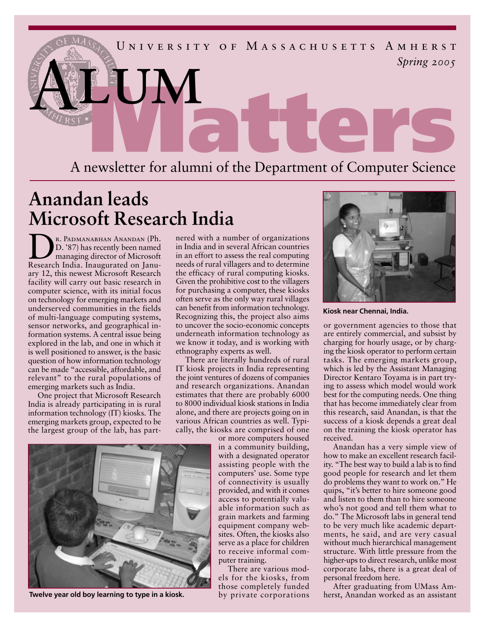

## **Anandan leads Microsoft Research India**

R. PADMANABHAN ANANDAN (Ph.<br>D. '87) has recently been named<br>managing director of Microsoft D. '87) has recently been named managing director of Microsoft Research India. Inaugurated on January 12, this newest Microsoft Research facility will carry out basic research in computer science, with its initial focus on technology for emerging markets and underserved communities in the fields of multi-language computing systems, sensor networks, and geographical information systems. A central issue being explored in the lab, and one in which it is well positioned to answer, is the basic question of how information technology can be made "accessible, affordable, and relevant" to the rural populations of emerging markets such as India.

One project that Microsoft Research India is already participating in is rural information technology (IT) kiosks. The emerging markets group, expected to be the largest group of the lab, has partnered with a number of organizations in India and in several African countries in an effort to assess the real computing needs of rural villagers and to determine the efficacy of rural computing kiosks. Given the prohibitive cost to the villagers for purchasing a computer, these kiosks often serve as the only way rural villages can benefit from information technology. Recognizing this, the project also aims to uncover the socio-economic concepts underneath information technology as we know it today, and is working with ethnography experts as well.

There are literally hundreds of rural IT kiosk projects in India representing the joint ventures of dozens of companies and research organizations. Anandan estimates that there are probably 6000 to 8000 individual kiosk stations in India alone, and there are projects going on in various African countries as well. Typically, the kiosks are comprised of one

or more computers housed in a community building, with a designated operator assisting people with the computers' use. Some type of connectivity is usually provided, and with it comes access to potentially valuable information such as grain markets and farming equipment company websites. Often, the kiosks also serve as a place for children to receive informal computer training.

There are various models for the kiosks, from those completely funded by private corporations



**Kiosk near Chennai, India.** 

or government agencies to those that are entirely commercial, and subsist by charging for hourly usage, or by charging the kiosk operator to perform certain tasks. The emerging markets group, which is led by the Assistant Managing Director Kentaro Toyama is in part trying to assess which model would work best for the computing needs. One thing that has become immediately clear from this research, said Anandan, is that the success of a kiosk depends a great deal on the training the kiosk operator has received.

Anandan has a very simple view of how to make an excellent research facility. "The best way to build a lab is to find good people for research and let them do problems they want to work on." He quips, "it's better to hire someone good and listen to them than to hire someone who's not good and tell them what to do." The Microsoft labs in general tend to be very much like academic departments, he said, and are very casual without much hierarchical management structure. With little pressure from the higher-ups to direct research, unlike most corporate labs, there is a great deal of personal freedom here.

After graduating from UMass Amherst, Anandan worked as an assistant



 **Twelve year old boy learning to type in a kiosk.**